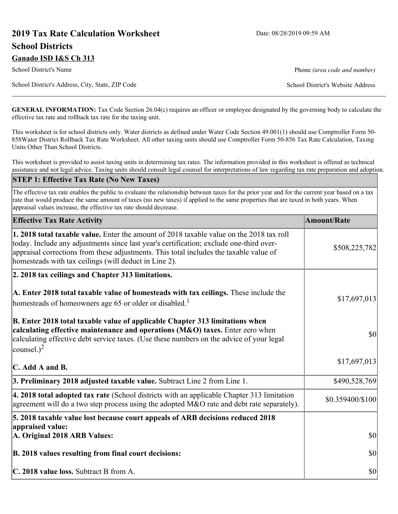# **2019 Tax Rate Calculation Worksheet** Date: 08/28/2019 09:59 AM **School Districts Ganado ISD I&S Ch 313**

School District's Name **Phone** *(area code and number)* Phone *(area code and number)* 

School District's Address, City, State, ZIP Code School District's Website Address

**GENERAL INFORMATION:** Tax Code Section 26.04(c) requires an officer or employee designated by the governing body to calculate the effective tax rate and rollback tax rate for the taxing unit.

This worksheet is for school districts only. Water districts as defined under Water Code Section 49.001(1) should use Comptroller Form 50- 858Water District Rollback Tax Rate Worksheet. All other taxing units should use Comptroller Form 50-856 Tax Rate Calculation, Taxing Units Other Than School Districts.

This worksheet is provided to assist taxing units in determining tax rates. The information provided in this worksheet is offered as technical assistance and not legal advice. Taxing units should consult legal counsel for interpretations of law regarding tax rate preparation and adoption.

#### **STEP 1: Effective Tax Rate (No New Taxes)**

The effective tax rate enables the public to evaluate the relationship between taxes for the prior year and for the current year based on a tax rate that would produce the same amount of taxes (no new taxes) if applied to the same properties that are taxed in both years. When appraisal values increase, the effective tax rate should decrease.

| <b>Effective Tax Rate Activity</b>                                                                                                                                                                                                                                                                                                            | <b>Amount/Rate</b> |
|-----------------------------------------------------------------------------------------------------------------------------------------------------------------------------------------------------------------------------------------------------------------------------------------------------------------------------------------------|--------------------|
| <b>1. 2018 total taxable value.</b> Enter the amount of 2018 taxable value on the 2018 tax roll<br>today. Include any adjustments since last year's certification; exclude one-third over-<br>appraisal corrections from these adjustments. This total includes the taxable value of<br>homesteads with tax ceilings (will deduct in Line 2). | \$508,225,782      |
| 2. 2018 tax ceilings and Chapter 313 limitations.                                                                                                                                                                                                                                                                                             |                    |
| A. Enter 2018 total taxable value of homesteads with tax ceilings. These include the<br>homesteads of homeowners age 65 or older or disabled. <sup>1</sup>                                                                                                                                                                                    | \$17,697,013       |
| B. Enter 2018 total taxable value of applicable Chapter 313 limitations when<br>calculating effective maintenance and operations (M&O) taxes. Enter zero when<br>calculating effective debt service taxes. (Use these numbers on the advice of your legal<br>counsel.) <sup>2</sup>                                                           | $ 10\rangle$       |
| C. Add A and B.                                                                                                                                                                                                                                                                                                                               | \$17,697,013       |
| 3. Preliminary 2018 adjusted taxable value. Subtract Line 2 from Line 1.                                                                                                                                                                                                                                                                      | \$490,528,769      |
| 4. 2018 total adopted tax rate (School districts with an applicable Chapter 313 limitation<br>agreement will do a two step process using the adopted M&O rate and debt rate separately).                                                                                                                                                      | \$0.359400/\$100   |
| 5. 2018 taxable value lost because court appeals of ARB decisions reduced 2018                                                                                                                                                                                                                                                                |                    |
| appraised value:<br>A. Original 2018 ARB Values:                                                                                                                                                                                                                                                                                              | $ 10\rangle$       |
| B. 2018 values resulting from final court decisions:                                                                                                                                                                                                                                                                                          | $ 10\rangle$       |
| C. 2018 value loss. Subtract B from A.                                                                                                                                                                                                                                                                                                        | $ 10\rangle$       |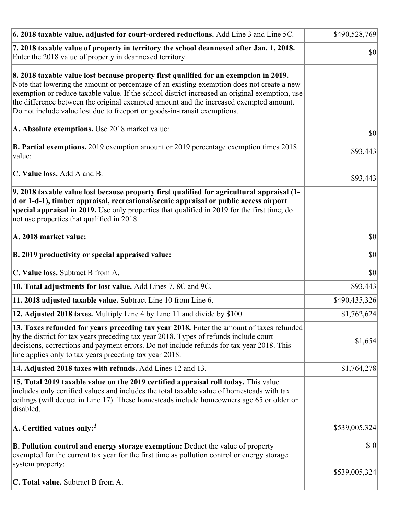| 6. 2018 taxable value, adjusted for court-ordered reductions. Add Line 3 and Line 5C.                                                                                                                                                                                                                                                                                                                                                                        | \$490,528,769 |
|--------------------------------------------------------------------------------------------------------------------------------------------------------------------------------------------------------------------------------------------------------------------------------------------------------------------------------------------------------------------------------------------------------------------------------------------------------------|---------------|
| 7. 2018 taxable value of property in territory the school deannexed after Jan. 1, 2018.<br>Enter the 2018 value of property in deannexed territory.                                                                                                                                                                                                                                                                                                          | \$0           |
| 8. 2018 taxable value lost because property first qualified for an exemption in 2019.<br>Note that lowering the amount or percentage of an existing exemption does not create a new<br>exemption or reduce taxable value. If the school district increased an original exemption, use<br>the difference between the original exempted amount and the increased exempted amount.<br>Do not include value lost due to freeport or goods-in-transit exemptions. |               |
| A. Absolute exemptions. Use 2018 market value:                                                                                                                                                                                                                                                                                                                                                                                                               | \$0           |
| <b>B. Partial exemptions.</b> 2019 exemption amount or 2019 percentage exemption times 2018<br>value:                                                                                                                                                                                                                                                                                                                                                        | \$93,443      |
| C. Value loss. Add A and B.                                                                                                                                                                                                                                                                                                                                                                                                                                  | \$93,443      |
| 9. 2018 taxable value lost because property first qualified for agricultural appraisal (1-<br>d or 1-d-1), timber appraisal, recreational/scenic appraisal or public access airport<br>special appraisal in 2019. Use only properties that qualified in 2019 for the first time; do<br>not use properties that qualified in 2018.                                                                                                                            |               |
| A. 2018 market value:                                                                                                                                                                                                                                                                                                                                                                                                                                        | $ 10\rangle$  |
| B. 2019 productivity or special appraised value:                                                                                                                                                                                                                                                                                                                                                                                                             | \$0           |
| C. Value loss. Subtract B from A.                                                                                                                                                                                                                                                                                                                                                                                                                            | $ 10\rangle$  |
| 10. Total adjustments for lost value. Add Lines 7, 8C and 9C.                                                                                                                                                                                                                                                                                                                                                                                                | \$93,443      |
| 11. 2018 adjusted taxable value. Subtract Line 10 from Line 6.                                                                                                                                                                                                                                                                                                                                                                                               | \$490,435,326 |
| 12. Adjusted 2018 taxes. Multiply Line 4 by Line 11 and divide by \$100.                                                                                                                                                                                                                                                                                                                                                                                     | \$1,762,624   |
| 13. Taxes refunded for years preceding tax year 2018. Enter the amount of taxes refunded<br>by the district for tax years preceding tax year 2018. Types of refunds include court<br>decisions, corrections and payment errors. Do not include refunds for tax year 2018. This<br>line applies only to tax years preceding tax year 2018.                                                                                                                    | \$1,654       |
| 14. Adjusted 2018 taxes with refunds. Add Lines 12 and 13.                                                                                                                                                                                                                                                                                                                                                                                                   | \$1,764,278   |
| 15. Total 2019 taxable value on the 2019 certified appraisal roll today. This value<br>includes only certified values and includes the total taxable value of homesteads with tax<br>ceilings (will deduct in Line 17). These homesteads include homeowners age 65 or older or<br>disabled.                                                                                                                                                                  |               |
| A. Certified values only: <sup>3</sup>                                                                                                                                                                                                                                                                                                                                                                                                                       | \$539,005,324 |
| <b>B. Pollution control and energy storage exemption:</b> Deduct the value of property<br>exempted for the current tax year for the first time as pollution control or energy storage<br>system property:                                                                                                                                                                                                                                                    | $S-0$         |
| <b>C. Total value.</b> Subtract B from A.                                                                                                                                                                                                                                                                                                                                                                                                                    | \$539,005,324 |
|                                                                                                                                                                                                                                                                                                                                                                                                                                                              |               |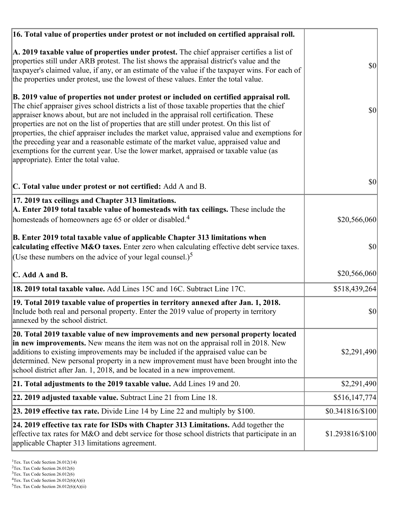| 16. Total value of properties under protest or not included on certified appraisal roll.                                                                                                                                                                                                                                                                                                                                                                                                                                                                                                                                                                                                                  |                  |
|-----------------------------------------------------------------------------------------------------------------------------------------------------------------------------------------------------------------------------------------------------------------------------------------------------------------------------------------------------------------------------------------------------------------------------------------------------------------------------------------------------------------------------------------------------------------------------------------------------------------------------------------------------------------------------------------------------------|------------------|
| A. 2019 taxable value of properties under protest. The chief appraiser certifies a list of<br>properties still under ARB protest. The list shows the appraisal district's value and the<br>taxpayer's claimed value, if any, or an estimate of the value if the taxpayer wins. For each of<br>the properties under protest, use the lowest of these values. Enter the total value.                                                                                                                                                                                                                                                                                                                        | $ 10\rangle$     |
| B. 2019 value of properties not under protest or included on certified appraisal roll.<br>The chief appraiser gives school districts a list of those taxable properties that the chief<br>appraiser knows about, but are not included in the appraisal roll certification. These<br>properties are not on the list of properties that are still under protest. On this list of<br>properties, the chief appraiser includes the market value, appraised value and exemptions for<br>the preceding year and a reasonable estimate of the market value, appraised value and<br>exemptions for the current year. Use the lower market, appraised or taxable value (as<br>appropriate). Enter the total value. | \$0              |
| C. Total value under protest or not certified: Add A and B.                                                                                                                                                                                                                                                                                                                                                                                                                                                                                                                                                                                                                                               | 30               |
| 17. 2019 tax ceilings and Chapter 313 limitations.<br>A. Enter 2019 total taxable value of homesteads with tax ceilings. These include the<br>homesteads of homeowners age 65 or older or disabled. <sup>4</sup>                                                                                                                                                                                                                                                                                                                                                                                                                                                                                          | \$20,566,060     |
| B. Enter 2019 total taxable value of applicable Chapter 313 limitations when<br>calculating effective M&O taxes. Enter zero when calculating effective debt service taxes.<br>(Use these numbers on the advice of your legal counsel.) <sup>5</sup>                                                                                                                                                                                                                                                                                                                                                                                                                                                       | \$0              |
| C. Add A and B.                                                                                                                                                                                                                                                                                                                                                                                                                                                                                                                                                                                                                                                                                           | \$20,566,060     |
| 18. 2019 total taxable value. Add Lines 15C and 16C. Subtract Line 17C.                                                                                                                                                                                                                                                                                                                                                                                                                                                                                                                                                                                                                                   | \$518,439,264    |
| 19. Total 2019 taxable value of properties in territory annexed after Jan. 1, 2018.<br>Include both real and personal property. Enter the 2019 value of property in territory<br>annexed by the school district.                                                                                                                                                                                                                                                                                                                                                                                                                                                                                          | \$0              |
| 20. Total 2019 taxable value of new improvements and new personal property located<br>in new improvements. New means the item was not on the appraisal roll in 2018. New<br>additions to existing improvements may be included if the appraised value can be<br>determined. New personal property in a new improvement must have been brought into the<br>school district after Jan. 1, 2018, and be located in a new improvement.                                                                                                                                                                                                                                                                        | \$2,291,490      |
| 21. Total adjustments to the 2019 taxable value. Add Lines 19 and 20.                                                                                                                                                                                                                                                                                                                                                                                                                                                                                                                                                                                                                                     | \$2,291,490      |
| 22. 2019 adjusted taxable value. Subtract Line 21 from Line 18.                                                                                                                                                                                                                                                                                                                                                                                                                                                                                                                                                                                                                                           | \$516,147,774    |
| <b>23. 2019 effective tax rate.</b> Divide Line 14 by Line 22 and multiply by \$100.                                                                                                                                                                                                                                                                                                                                                                                                                                                                                                                                                                                                                      | \$0.341816/\$100 |
| 24. 2019 effective tax rate for ISDs with Chapter 313 Limitations. Add together the<br>effective tax rates for M&O and debt service for those school districts that participate in an<br>applicable Chapter 313 limitations agreement.                                                                                                                                                                                                                                                                                                                                                                                                                                                                    | \$1.293816/\$100 |

<sup>3</sup>Tex. Tax Code Section 26.012(6)

 $2$ Tex. Tax Code Section 26.012(6)

 ${}^{4}$ Tex. Tax Code Section 26.012(6)(A)(i)

 $5$ Tex. Tax Code Section 26.012(6)(A)(ii)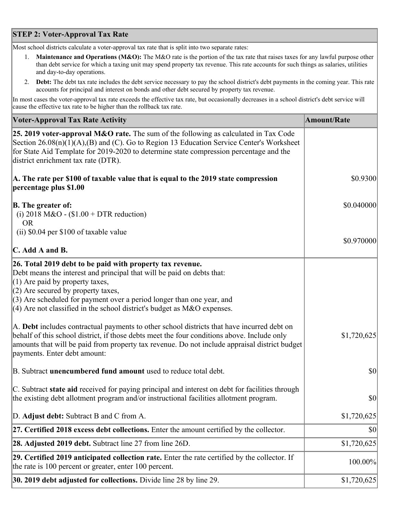## **STEP 2: Voter-Approval Tax Rate**

Most school districts calculate a voter-approval tax rate that is split into two separate rates:

- 1. **Maintenance and Operations (M&O):** The M&O rate is the portion of the tax rate that raises taxes for any lawful purpose other than debt service for which a taxing unit may spend property tax revenue. This rate accounts for such things as salaries, utilities and day-to-day operations.
- 2. **Debt:** The debt tax rate includes the debt service necessary to pay the school district's debt payments in the coming year. This rate accounts for principal and interest on bonds and other debt secured by property tax revenue.

In most cases the voter-approval tax rate exceeds the effective tax rate, but occasionally decreases in a school district's debt service will cause the effective tax rate to be higher than the rollback tax rate.

| <b>Voter-Approval Tax Rate Activity</b>                                                                                                                                                                                                                                                                                                                                  | <b>Amount/Rate</b> |
|--------------------------------------------------------------------------------------------------------------------------------------------------------------------------------------------------------------------------------------------------------------------------------------------------------------------------------------------------------------------------|--------------------|
| 25. 2019 voter-approval M&O rate. The sum of the following as calculated in Tax Code<br>Section 26.08(n)(1)(A),(B) and (C). Go to Region 13 Education Service Center's Worksheet<br>for State Aid Template for 2019-2020 to determine state compression percentage and the<br>district enrichment tax rate (DTR).                                                        |                    |
| A. The rate per \$100 of taxable value that is equal to the 2019 state compression<br>percentage plus \$1.00                                                                                                                                                                                                                                                             | \$0.9300           |
| <b>B.</b> The greater of:<br>(i) 2018 M&O - $$1.00 + DTR$ reduction)<br><b>OR</b>                                                                                                                                                                                                                                                                                        | \$0.040000         |
| (ii) \$0.04 per \$100 of taxable value                                                                                                                                                                                                                                                                                                                                   | \$0.970000         |
| $\mathbf C$ . Add A and B.                                                                                                                                                                                                                                                                                                                                               |                    |
| 26. Total 2019 debt to be paid with property tax revenue.<br>Debt means the interest and principal that will be paid on debts that:<br>$(1)$ Are paid by property taxes,<br>$(2)$ Are secured by property taxes,<br>$(3)$ Are scheduled for payment over a period longer than one year, and<br>(4) Are not classified in the school district's budget as $M&O$ expenses. |                    |
| A. Debt includes contractual payments to other school districts that have incurred debt on<br>behalf of this school district, if those debts meet the four conditions above. Include only<br>amounts that will be paid from property tax revenue. Do not include appraisal district budget<br>payments. Enter debt amount:                                               | \$1,720,625        |
| B. Subtract unencumbered fund amount used to reduce total debt.                                                                                                                                                                                                                                                                                                          | $ 10\rangle$       |
| C. Subtract state aid received for paying principal and interest on debt for facilities through<br>the existing debt allotment program and/or instructional facilities allotment program.                                                                                                                                                                                | \$0                |
| D. Adjust debt: Subtract B and C from A.                                                                                                                                                                                                                                                                                                                                 | \$1,720,625        |
| 27. Certified 2018 excess debt collections. Enter the amount certified by the collector.                                                                                                                                                                                                                                                                                 | \$0                |
| <b>28. Adjusted 2019 debt.</b> Subtract line 27 from line 26D.                                                                                                                                                                                                                                                                                                           | \$1,720,625        |
| 29. Certified 2019 anticipated collection rate. Enter the rate certified by the collector. If<br>the rate is 100 percent or greater, enter 100 percent.                                                                                                                                                                                                                  | 100.00%            |
| 30. 2019 debt adjusted for collections. Divide line 28 by line 29.                                                                                                                                                                                                                                                                                                       | \$1,720,625        |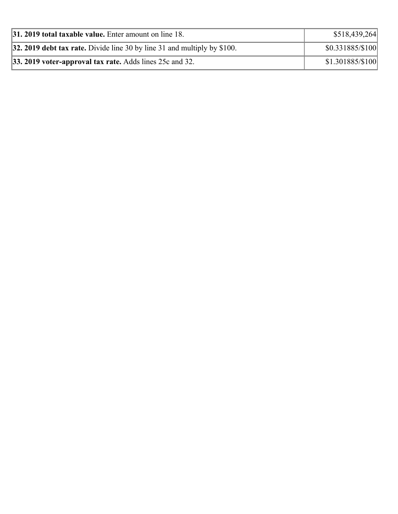| $ 31, 2019$ total taxable value. Enter amount on line 18.                  | \$518,439,264     |
|----------------------------------------------------------------------------|-------------------|
| 32. 2019 debt tax rate. Divide line 30 by line 31 and multiply by $$100$ . | \$0.331885/\$100  |
| $ 33.2019$ voter-approval tax rate. Adds lines 25c and 32.                 | $$1.301885/\$100$ |